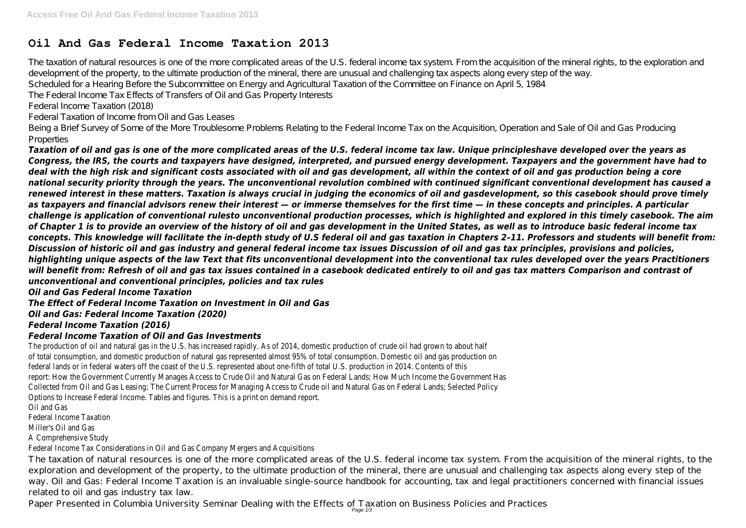The taxation of natural resources is one of the more complicated areas of the U.S. federal income tax system. From the acquisition of the mineral rights, to the exploration and development of the property, to the ultimate production of the mineral, there are unusual and challenging tax aspects along every step of the way. Scheduled for a Hearing Before the Subcommittee on Energy and Agricultural Taxation of the Committee on Finance on April 5, 1984 The Federal Income Tax Effects of Transfers of Oil and Gas Property Interests

# **Oil And Gas Federal Income Taxation 2013**

Being a Brief Survey of Some of the More Troublesome Problems Relating to the Federal Income Tax on the Acquisition, Operation and Sale of Oil and Gas Producing **Properties** 

Federal Income Taxation (2018)

Federal Taxation of Income from Oil and Gas Leases

*Taxation of oil and gas is one of the more complicated areas of the U.S. federal income tax law. Unique principleshave developed over the years as Congress, the IRS, the courts and taxpayers have designed, interpreted, and pursued energy development. Taxpayers and the government have had to deal with the high risk and significant costs associated with oil and gas development, all within the context of oil and gas production being a core national security priority through the years. The unconventional revolution combined with continued significant conventional development has caused a renewed interest in these matters. Taxation is always crucial in judging the economics of oil and gasdevelopment, so this casebook should prove timely as taxpayers and financial advisors renew their interest — or immerse themselves for the first time — in these concepts and principles. A particular challenge is application of conventional rulesto unconventional production processes, which is highlighted and explored in this timely casebook. The aim of Chapter 1 is to provide an overview of the history of oil and gas development in the United States, as well as to introduce basic federal income tax concepts. This knowledge will facilitate the in-depth study of U.S federal oil and gas taxation in Chapters 2–11. Professors and students will benefit from: Discussion of historic oil and gas industry and general federal income tax issues Discussion of oil and gas tax principles, provisions and policies, highlighting unique aspects of the law Text that fits unconventional development into the conventional tax rules developed over the years Practitioners will benefit from: Refresh of oil and gas tax issues contained in a casebook dedicated entirely to oil and gas tax matters Comparison and contrast of unconventional and conventional principles, policies and tax rules*

# *Oil and Gas Federal Income Taxation*

*The Effect of Federal Income Taxation on Investment in Oil and Gas*

# *Oil and Gas: Federal Income Taxation (2020)*

## *Federal Income Taxation (2016)*

## *Federal Income Taxation of Oil and Gas Investments*

The production of oil and natural gas in the U.S. has increased rapidly. As of 2014, domestic production of crude oil had grown to about half of total consumption, and domestic production of natural gas represented almost 95% of total consumption. Domestic oil and gas production on federal lands or in federal waters off the coast of the U.S. represented about one-fifth of total U.S. production in 2014. Contents of this report: How the Government Currently Manages Access to Crude Oil and Natural Gas on Federal Lands; How Much Income the Government Has Collected from Oil and Gas Leasing; The Current Process for Managing Access to Crude oil and Natural Gas on Federal Lands; Selected Policy Options to Increase Federal Income. Tables and figures. This is a print on demand report.

Oil and Gas

Federal Income Taxation

Miller's Oil and Gas

A Comprehensive Study

Federal Income Tax Considerations in Oil and Gas Company Mergers and Acquisitions

The taxation of natural resources is one of the more complicated areas of the U.S. federal income tax system. From the acquisition of the mineral rights, to the exploration and development of the property, to the ultimate production of the mineral, there are unusual and challenging tax aspects along every step of the way. Oil and Gas: Federal Income Taxation is an invaluable single-source handbook for accounting, tax and legal practitioners concerned with financial issues related to oil and gas industry tax law.

Paper Presented in Columbia University Seminar Dealing with the Effects of Taxation on Business Policies and Practices Page 1/3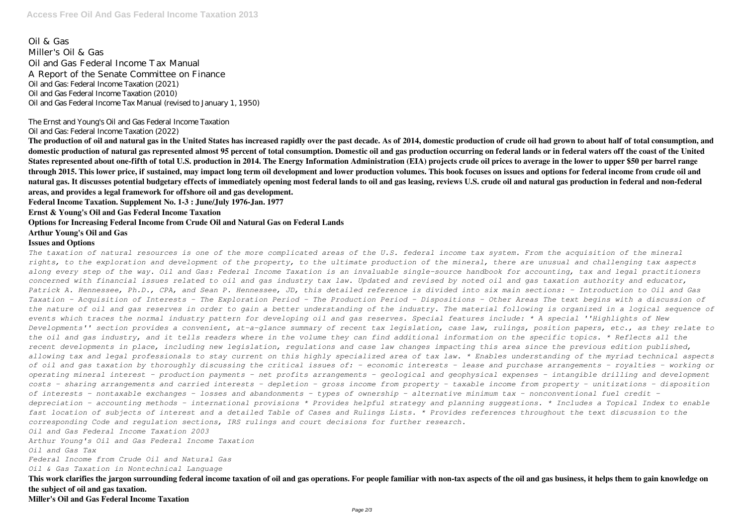Oil & Gas Miller's Oil & Gas Oil and Gas Federal Income Tax Manual A Report of the Senate Committee on Finance Oil and Gas: Federal Income Taxation (2021) Oil and Gas Federal Income Taxation (2010) Oil and Gas Federal Income Tax Manual (revised to January 1, 1950)

The Ernst and Young's Oil and Gas Federal Income Taxation

Oil and Gas: Federal Income Taxation (2022)

**The production of oil and natural gas in the United States has increased rapidly over the past decade. As of 2014, domestic production of crude oil had grown to about half of total consumption, and domestic production of natural gas represented almost 95 percent of total consumption. Domestic oil and gas production occurring on federal lands or in federal waters off the coast of the United States represented about one-fifth of total U.S. production in 2014. The Energy Information Administration (EIA) projects crude oil prices to average in the lower to upper \$50 per barrel range through 2015. This lower price, if sustained, may impact long term oil development and lower production volumes. This book focuses on issues and options for federal income from crude oil and natural gas. It discusses potential budgetary effects of immediately opening most federal lands to oil and gas leasing, reviews U.S. crude oil and natural gas production in federal and non-federal areas, and provides a legal framework for offshore oil and gas development.**

**Federal Income Taxation. Supplement No. 1-3 : June/July 1976-Jan. 1977**

**Ernst & Young's Oil and Gas Federal Income Taxation**

#### **Options for Increasing Federal Income from Crude Oil and Natural Gas on Federal Lands**

**Arthur Young's Oil and Gas**

#### **Issues and Options**

*The taxation of natural resources is one of the more complicated areas of the U.S. federal income tax system. From the acquisition of the mineral rights, to the exploration and development of the property, to the ultimate production of the mineral, there are unusual and challenging tax aspects along every step of the way. Oil and Gas: Federal Income Taxation is an invaluable single-source handbook for accounting, tax and legal practitioners concerned with financial issues related to oil and gas industry tax law. Updated and revised by noted oil and gas taxation authority and educator, Patrick A. Hennessee, Ph.D., CPA, and Sean P. Hennessee, JD, this detailed reference is divided into six main sections: - Introduction to Oil and Gas Taxation - Acquisition of Interests - The Exploration Period - The Production Period - Dispositions - Other Areas The text begins with a discussion of the nature of oil and gas reserves in order to gain a better understanding of the industry. The material following is organized in a logical sequence of events which traces the normal industry pattern for developing oil and gas reserves. Special features include: \* A special ''Highlights of New Developments'' section provides a convenient, at-a-glance summary of recent tax legislation, case law, rulings, position papers, etc., as they relate to the oil and gas industry, and it tells readers where in the volume they can find additional information on the specific topics. \* Reflects all the recent developments in place, including new legislation, regulations and case law changes impacting this area since the previous edition published, allowing tax and legal professionals to stay current on this highly specialized area of tax law. \* Enables understanding of the myriad technical aspects of oil and gas taxation by thoroughly discussing the critical issues of: - economic interests - lease and purchase arrangements - royalties - working or operating mineral interest - production payments - net profits arrangements - geological and geophysical expenses - intangible drilling and development costs - sharing arrangements and carried interests - depletion - gross income from property - taxable income from property - unitizations - disposition of interests - nontaxable exchanges - losses and abandonments - types of ownership - alternative minimum tax - nonconventional fuel credit depreciation - accounting methods - international provisions \* Provides helpful strategy and planning suggestions. \* Includes a Topical Index to enable fast location of subjects of interest and a detailed Table of Cases and Rulings Lists. \* Provides references throughout the text discussion to the corresponding Code and regulation sections, IRS rulings and court decisions for further research.*

*Oil and Gas Federal Income Taxation 2003*

*Arthur Young's Oil and Gas Federal Income Taxation*

*Oil and Gas Tax*

*Federal Income from Crude Oil and Natural Gas*

*Oil & Gas Taxation in Nontechnical Language*

**This work clarifies the jargon surrounding federal income taxation of oil and gas operations. For people familiar with non-tax aspects of the oil and gas business, it helps them to gain knowledge on the subject of oil and gas taxation.**

**Miller's Oil and Gas Federal Income Taxation**